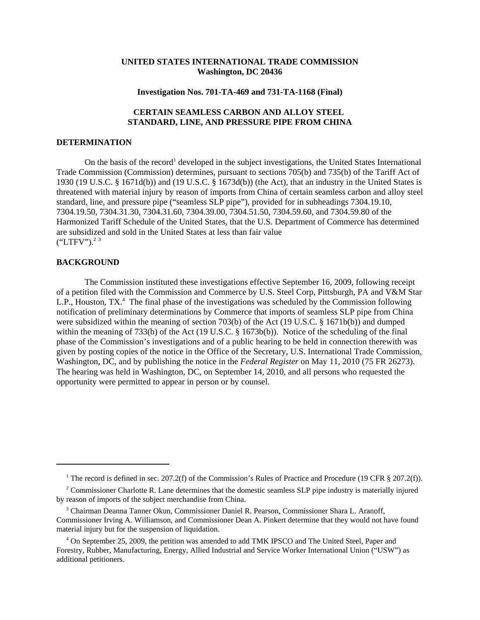## **UNITED STATES INTERNATIONAL TRADE COMMISSION Washington, DC 20436**

#### **Investigation Nos. 701-TA-469 and 731-TA-1168 (Final)**

# **CERTAIN SEAMLESS CARBON AND ALLOY STEEL STANDARD, LINE, AND PRESSURE PIPE FROM CHINA**

### **DETERMINATION**

On the basis of the record<sup>1</sup> developed in the subject investigations, the United States International Trade Commission (Commission) determines, pursuant to sections 705(b) and 735(b) of the Tariff Act of 1930 (19 U.S.C. § 1671d(b)) and (19 U.S.C. § 1673d(b)) (the Act), that an industry in the United States is threatened with material injury by reason of imports from China of certain seamless carbon and alloy steel standard, line, and pressure pipe ("seamless SLP pipe"), provided for in subheadings 7304.19.10, 7304.19.50, 7304.31.30, 7304.31.60, 7304.39.00, 7304.51.50, 7304.59.60, and 7304.59.80 of the Harmonized Tariff Schedule of the United States, that the U.S. Department of Commerce has determined are subsidized and sold in the United States at less than fair value  $("LTFV")$ .<sup>23</sup>

## **BACKGROUND**

The Commission instituted these investigations effective September 16, 2009, following receipt of a petition filed with the Commission and Commerce by U.S. Steel Corp, Pittsburgh, PA and V&M Star L.P., Houston, TX.<sup>4</sup> The final phase of the investigations was scheduled by the Commission following notification of preliminary determinations by Commerce that imports of seamless SLP pipe from China were subsidized within the meaning of section 703(b) of the Act (19 U.S.C. § 1671b(b)) and dumped within the meaning of 733(b) of the Act (19 U.S.C. § 1673b(b)). Notice of the scheduling of the final phase of the Commission's investigations and of a public hearing to be held in connection therewith was given by posting copies of the notice in the Office of the Secretary, U.S. International Trade Commission, Washington, DC, and by publishing the notice in the *Federal Register* on May 11, 2010 (75 FR 26273). The hearing was held in Washington, DC, on September 14, 2010, and all persons who requested the opportunity were permitted to appear in person or by counsel.

<sup>&</sup>lt;sup>1</sup> The record is defined in sec. 207.2(f) of the Commission's Rules of Practice and Procedure (19 CFR § 207.2(f)).

<sup>&</sup>lt;sup>2</sup> Commissioner Charlotte R. Lane determines that the domestic seamless SLP pipe industry is materially injured by reason of imports of the subject merchandise from China.

<sup>&</sup>lt;sup>3</sup> Chairman Deanna Tanner Okun, Commissioner Daniel R. Pearson, Commissioner Shara L. Aranoff, Commissioner Irving A. Williamson, and Commissioner Dean A. Pinkert determine that they would not have found material injury but for the suspension of liquidation.

<sup>&</sup>lt;sup>4</sup> On September 25, 2009, the petition was amended to add TMK IPSCO and The United Steel, Paper and Forestry, Rubber, Manufacturing, Energy, Allied Industrial and Service Worker International Union ("USW") as additional petitioners.